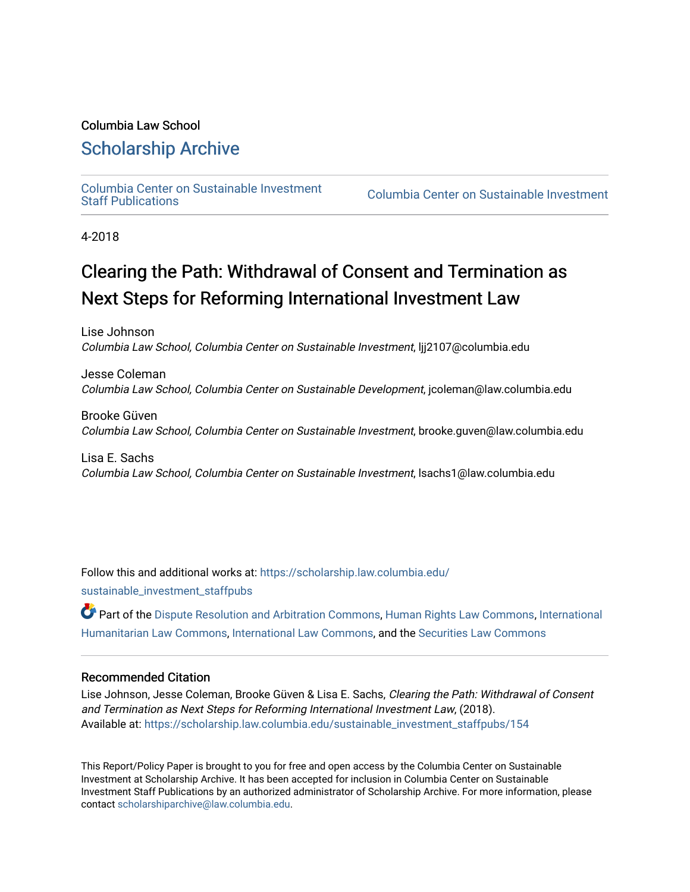#### Columbia Law School

#### [Scholarship Archive](https://scholarship.law.columbia.edu/)

[Columbia Center on Sustainable Investment](https://scholarship.law.columbia.edu/sustainable_investment_staffpubs) 

Columbia Center on Sustainable Investment

4-2018

#### Clearing the Path: Withdrawal of Consent and Termination as Next Steps for Reforming International Investment Law

Lise Johnson Columbia Law School, Columbia Center on Sustainable Investment, ljj2107@columbia.edu

Jesse Coleman Columbia Law School, Columbia Center on Sustainable Development, jcoleman@law.columbia.edu

Brooke Güven Columbia Law School, Columbia Center on Sustainable Investment, brooke.guven@law.columbia.edu

Lisa E. Sachs Columbia Law School, Columbia Center on Sustainable Investment, lsachs1@law.columbia.edu

Follow this and additional works at: [https://scholarship.law.columbia.edu/](https://scholarship.law.columbia.edu/sustainable_investment_staffpubs?utm_source=scholarship.law.columbia.edu%2Fsustainable_investment_staffpubs%2F154&utm_medium=PDF&utm_campaign=PDFCoverPages)

[sustainable\\_investment\\_staffpubs](https://scholarship.law.columbia.edu/sustainable_investment_staffpubs?utm_source=scholarship.law.columbia.edu%2Fsustainable_investment_staffpubs%2F154&utm_medium=PDF&utm_campaign=PDFCoverPages)

Part of the [Dispute Resolution and Arbitration Commons,](http://network.bepress.com/hgg/discipline/890?utm_source=scholarship.law.columbia.edu%2Fsustainable_investment_staffpubs%2F154&utm_medium=PDF&utm_campaign=PDFCoverPages) [Human Rights Law Commons](http://network.bepress.com/hgg/discipline/847?utm_source=scholarship.law.columbia.edu%2Fsustainable_investment_staffpubs%2F154&utm_medium=PDF&utm_campaign=PDFCoverPages), [International](http://network.bepress.com/hgg/discipline/1330?utm_source=scholarship.law.columbia.edu%2Fsustainable_investment_staffpubs%2F154&utm_medium=PDF&utm_campaign=PDFCoverPages)  [Humanitarian Law Commons,](http://network.bepress.com/hgg/discipline/1330?utm_source=scholarship.law.columbia.edu%2Fsustainable_investment_staffpubs%2F154&utm_medium=PDF&utm_campaign=PDFCoverPages) [International Law Commons](http://network.bepress.com/hgg/discipline/609?utm_source=scholarship.law.columbia.edu%2Fsustainable_investment_staffpubs%2F154&utm_medium=PDF&utm_campaign=PDFCoverPages), and the [Securities Law Commons](http://network.bepress.com/hgg/discipline/619?utm_source=scholarship.law.columbia.edu%2Fsustainable_investment_staffpubs%2F154&utm_medium=PDF&utm_campaign=PDFCoverPages) 

#### Recommended Citation

Lise Johnson, Jesse Coleman, Brooke Güven & Lisa E. Sachs, Clearing the Path: Withdrawal of Consent and Termination as Next Steps for Reforming International Investment Law, (2018). Available at: [https://scholarship.law.columbia.edu/sustainable\\_investment\\_staffpubs/154](https://scholarship.law.columbia.edu/sustainable_investment_staffpubs/154?utm_source=scholarship.law.columbia.edu%2Fsustainable_investment_staffpubs%2F154&utm_medium=PDF&utm_campaign=PDFCoverPages) 

This Report/Policy Paper is brought to you for free and open access by the Columbia Center on Sustainable Investment at Scholarship Archive. It has been accepted for inclusion in Columbia Center on Sustainable Investment Staff Publications by an authorized administrator of Scholarship Archive. For more information, please contact [scholarshiparchive@law.columbia.edu.](mailto:scholarshiparchive@law.columbia.edu)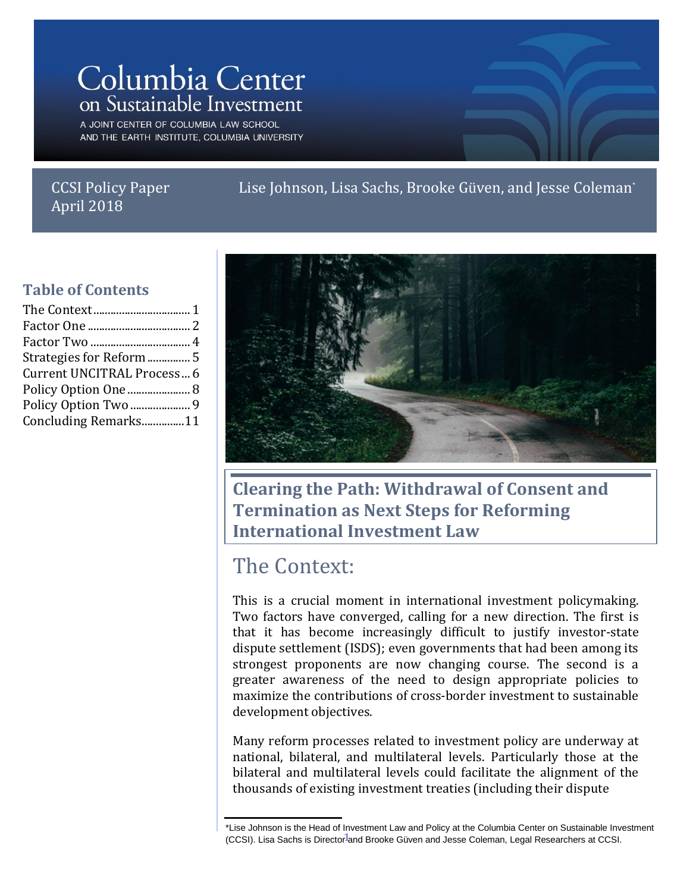## Columbia Center on Sustainable Investment

A JOINT CENTER OF COLUMBIA LAW SCHOOL AND THE EARTH INSTITUTE, COLUMBIA UNIVERSITY

#### \ April 2018CCSI Policy Paper

Lise Johnson, Lisa Sachs, Brooke Güven, and Jesse Coleman<sup>\*</sup>

#### **Table of Contents**

| Strategies for Reform  5   |  |
|----------------------------|--|
| Current UNCITRAL Process 6 |  |
|                            |  |
|                            |  |
| Concluding Remarks11       |  |
|                            |  |



**Clearing the Path: Withdrawal of Consent and Termination as Next Steps for Reforming International Investment Law**

#### The Context:

This is a crucial moment in international investment policymaking. Two factors have converged, calling for a new direction. The first is that it has become increasingly difficult to justify investor-state dispute settlement (ISDS); even governments that had been among its strongest proponents are now changing course. The second is a greater awareness of the need to design appropriate policies to maximize the contributions of cross-border investment to sustainable development objectives.

Many reform processes related to investment policy are underway at national, bilateral, and multilateral levels. Particularly those at the bilateral and multilateral levels could facilitate the alignment of the thousands of existing investment treaties (including their dispute

<sup>(</sup>CCSI). Lisa Sachs is Director<sup>1</sup>and Brooke Güven and Jesse Coleman, Legal Researchers at CCSI. \*Lise Johnson is the Head of Investment Law and Policy at the Columbia Center on Sustainable Investment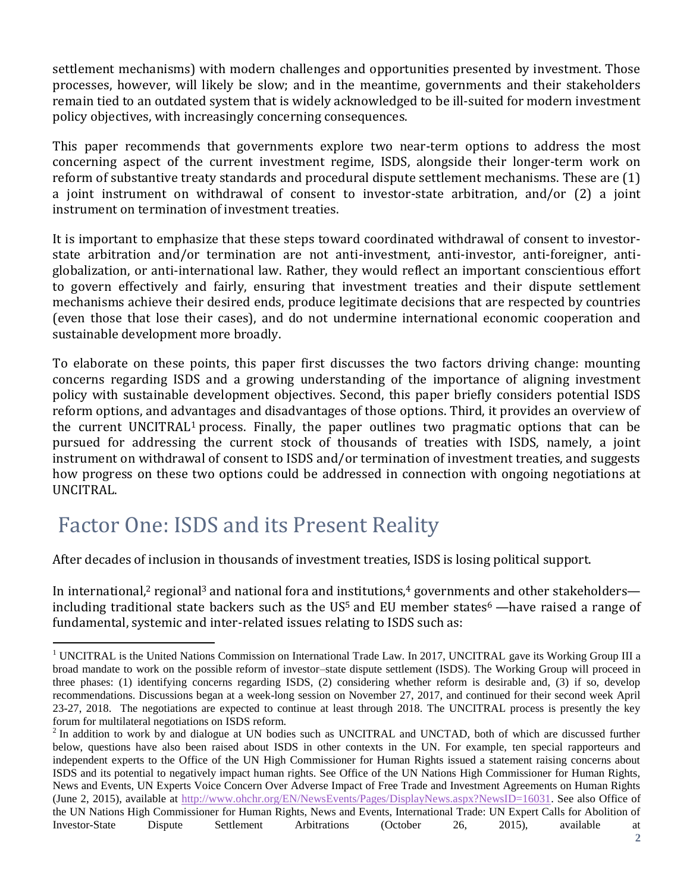settlement mechanisms) with modern challenges and opportunities presented by investment. Those processes, however, will likely be slow; and in the meantime, governments and their stakeholders remain tied to an outdated system that is widely acknowledged to be ill-suited for modern investment policy objectives, with increasingly concerning consequences.

This paper recommends that governments explore two near-term options to address the most concerning aspect of the current investment regime, ISDS, alongside their longer-term work on reform of substantive treaty standards and procedural dispute settlement mechanisms. These are (1) a joint instrument on withdrawal of consent to investor-state arbitration, and/or (2) a joint instrument on termination of investment treaties.

It is important to emphasize that these steps toward coordinated withdrawal of consent to investorstate arbitration and/or termination are not anti-investment, anti-investor, anti-foreigner, antiglobalization, or anti-international law. Rather, they would reflect an important conscientious effort to govern effectively and fairly, ensuring that investment treaties and their dispute settlement mechanisms achieve their desired ends, produce legitimate decisions that are respected by countries (even those that lose their cases), and do not undermine international economic cooperation and sustainable development more broadly.

To elaborate on these points, this paper first discusses the two factors driving change: mounting concerns regarding ISDS and a growing understanding of the importance of aligning investment policy with sustainable development objectives. Second, this paper briefly considers potential ISDS reform options, and advantages and disadvantages of those options. Third, it provides an overview of the current UNCITRAL<sup>1</sup> process. Finally, the paper outlines two pragmatic options that can be pursued for addressing the current stock of thousands of treaties with ISDS, namely, a joint instrument on withdrawal of consent to ISDS and/or termination of investment treaties, and suggests how progress on these two options could be addressed in connection with ongoing negotiations at UNCITRAL.

## Factor One: ISDS and its Present Reality

 $\overline{a}$ 

After decades of inclusion in thousands of investment treaties, ISDS is losing political support.

In international,<sup>2</sup> regional<sup>3</sup> and national fora and institutions,<sup>4</sup> governments and other stakeholders including traditional state backers such as the US<sup>5</sup> and EU member states<sup>6</sup> —have raised a range of fundamental, systemic and inter-related issues relating to ISDS such as:

<sup>&</sup>lt;sup>1</sup> UNCITRAL is the United Nations Commission on International Trade Law. In 2017, UNCITRAL gave its Working Group III a broad mandate to work on the possible reform of investor–state dispute settlement (ISDS). The Working Group will proceed in three phases: (1) identifying concerns regarding ISDS, (2) considering whether reform is desirable and, (3) if so, develop recommendations. Discussions began at a week-long session on November 27, 2017, and continued for their second week April 23-27, 2018. The negotiations are expected to continue at least through 2018. The UNCITRAL process is presently the key forum for multilateral negotiations on ISDS reform.

 $2$  In addition to work by and dialogue at UN bodies such as UNCITRAL and UNCTAD, both of which are discussed further below, questions have also been raised about ISDS in other contexts in the UN. For example, ten special rapporteurs and independent experts to the Office of the UN High Commissioner for Human Rights issued a statement raising concerns about ISDS and its potential to negatively impact human rights. See Office of the UN Nations High Commissioner for Human Rights, News and Events, UN Experts Voice Concern Over Adverse Impact of Free Trade and Investment Agreements on Human Rights (June 2, 2015), available at [http://www.ohchr.org/EN/NewsEvents/Pages/DisplayNews.aspx?NewsID=16031.](http://www.ohchr.org/EN/NewsEvents/Pages/DisplayNews.aspx?NewsID=16031) See also Office of the UN Nations High Commissioner for Human Rights, News and Events, International Trade: UN Expert Calls for Abolition of Investor-State Dispute Settlement Arbitrations (October 26, 2015), available at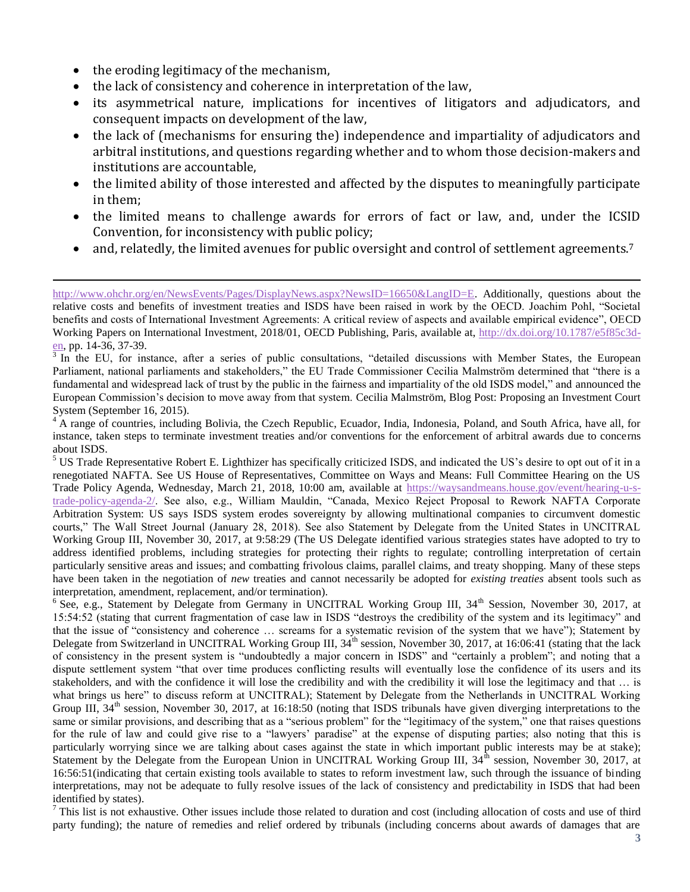the eroding legitimacy of the mechanism,

 $\overline{a}$ 

- the lack of consistency and coherence in interpretation of the law,
- its asymmetrical nature, implications for incentives of litigators and adjudicators, and consequent impacts on development of the law,
- the lack of (mechanisms for ensuring the) independence and impartiality of adjudicators and arbitral institutions, and questions regarding whether and to whom those decision-makers and institutions are accountable,
- the limited ability of those interested and affected by the disputes to meaningfully participate in them;
- the limited means to challenge awards for errors of fact or law, and, under the ICSID Convention, for inconsistency with public policy;
- and, relatedly, the limited avenues for public oversight and control of settlement agreements.<sup>7</sup>

[http://www.ohchr.org/en/NewsEvents/Pages/DisplayNews.aspx?NewsID=16650&LangID=E.](http://www.ohchr.org/en/NewsEvents/Pages/DisplayNews.aspx?NewsID=16650&LangID=E) Additionally, questions about the relative costs and benefits of investment treaties and ISDS have been raised in work by the OECD. Joachim Pohl, "Societal benefits and costs of International Investment Agreements: A critical review of aspects and available empirical evidence", OECD Working Papers on International Investment, 2018/01, OECD Publishing, Paris, available at, [http://dx.doi.org/10.1787/e5f85c3d-](http://dx.doi.org/10.1787/e5f85c3d-en) $\frac{e_n}{3}$ , pp. 14-36, 37-39.

In the EU, for instance, after a series of public consultations, "detailed discussions with Member States, the European Parliament, national parliaments and stakeholders," the EU Trade Commissioner Cecilia Malmström determined that "there is a fundamental and widespread lack of trust by the public in the fairness and impartiality of the old ISDS model," and announced the European Commission's decision to move away from that system. Cecilia Malmström, Blog Post: Proposing an Investment Court System (September 16, 2015).

<sup>4</sup> A range of countries, including Bolivia, the Czech Republic, Ecuador, India, Indonesia, Poland, and South Africa, have all, for instance, taken steps to terminate investment treaties and/or conventions for the enforcement of arbitral awards due to concerns about ISDS.

<sup>5</sup> US Trade Representative Robert E. Lighthizer has specifically criticized ISDS, and indicated the US's desire to opt out of it in a renegotiated NAFTA. See US House of Representatives, Committee on Ways and Means: Full Committee Hearing on the US Trade Policy Agenda, Wednesday, March 21, 2018, 10:00 am, available at [https://waysandmeans.house.gov/event/hearing-u-s](https://waysandmeans.house.gov/event/hearing-u-s-trade-policy-agenda-2/)[trade-policy-agenda-2/.](https://waysandmeans.house.gov/event/hearing-u-s-trade-policy-agenda-2/) See also, e.g., William Mauldin, "Canada, Mexico Reject Proposal to Rework NAFTA Corporate Arbitration System: US says ISDS system erodes sovereignty by allowing multinational companies to circumvent domestic courts," The Wall Street Journal (January 28, 2018). See also Statement by Delegate from the United States in UNCITRAL Working Group III, November 30, 2017, at 9:58:29 (The US Delegate identified various strategies states have adopted to try to address identified problems, including strategies for protecting their rights to regulate; controlling interpretation of certain particularly sensitive areas and issues; and combatting frivolous claims, parallel claims, and treaty shopping. Many of these steps have been taken in the negotiation of *new* treaties and cannot necessarily be adopted for *existing treaties* absent tools such as interpretation, amendment, replacement, and/or termination).

<sup>6</sup> See, e.g., Statement by Delegate from Germany in UNCITRAL Working Group III, 34<sup>th</sup> Session, November 30, 2017, at 15:54:52 (stating that current fragmentation of case law in ISDS "destroys the credibility of the system and its legitimacy" and that the issue of "consistency and coherence … screams for a systematic revision of the system that we have"); Statement by Delegate from Switzerland in UNCITRAL Working Group III, 34<sup>th</sup> session, November 30, 2017, at 16:06:41 (stating that the lack of consistency in the present system is "undoubtedly a major concern in ISDS" and "certainly a problem"; and noting that a dispute settlement system "that over time produces conflicting results will eventually lose the confidence of its users and its stakeholders, and with the confidence it will lose the credibility and with the credibility it will lose the legitimacy and that … is what brings us here" to discuss reform at UNCITRAL); Statement by Delegate from the Netherlands in UNCITRAL Working Group III, 34<sup>th</sup> session, November 30, 2017, at 16:18:50 (noting that ISDS tribunals have given diverging interpretations to the same or similar provisions, and describing that as a "serious problem" for the "legitimacy of the system," one that raises questions for the rule of law and could give rise to a "lawyers' paradise" at the expense of disputing parties; also noting that this is particularly worrying since we are talking about cases against the state in which important public interests may be at stake); Statement by the Delegate from the European Union in UNCITRAL Working Group III,  $34<sup>th</sup>$  session, November 30, 2017, at 16:56:51(indicating that certain existing tools available to states to reform investment law, such through the issuance of binding interpretations, may not be adequate to fully resolve issues of the lack of consistency and predictability in ISDS that had been identified by states).

 $<sup>7</sup>$  This list is not exhaustive. Other issues include those related to duration and cost (including allocation of costs and use of third</sup> party funding); the nature of remedies and relief ordered by tribunals (including concerns about awards of damages that are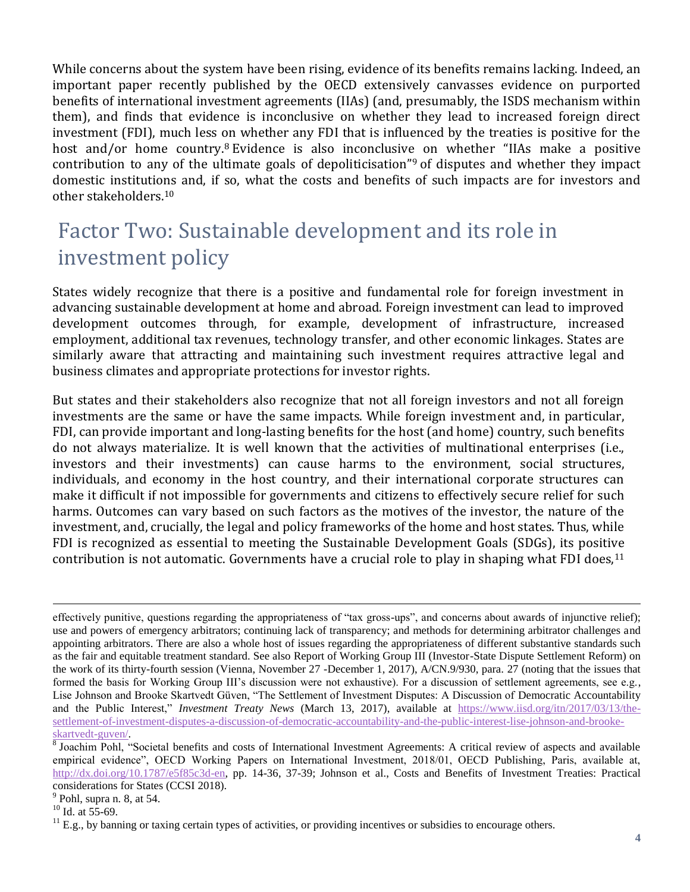While concerns about the system have been rising, evidence of its benefits remains lacking. Indeed, an important paper recently published by the OECD extensively canvasses evidence on purported benefits of international investment agreements (IIAs) (and, presumably, the ISDS mechanism within them), and finds that evidence is inconclusive on whether they lead to increased foreign direct investment (FDI), much less on whether any FDI that is influenced by the treaties is positive for the host and/or home country.<sup>8</sup> Evidence is also inconclusive on whether "IIAs make a positive contribution to any of the ultimate goals of depoliticisation"<sup>9</sup> of disputes and whether they impact domestic institutions and, if so, what the costs and benefits of such impacts are for investors and other stakeholders.<sup>10</sup>

## Factor Two: Sustainable development and its role in investment policy

States widely recognize that there is a positive and fundamental role for foreign investment in advancing sustainable development at home and abroad. Foreign investment can lead to improved development outcomes through, for example, development of infrastructure, increased employment, additional tax revenues, technology transfer, and other economic linkages. States are similarly aware that attracting and maintaining such investment requires attractive legal and business climates and appropriate protections for investor rights.

But states and their stakeholders also recognize that not all foreign investors and not all foreign investments are the same or have the same impacts. While foreign investment and, in particular, FDI, can provide important and long-lasting benefits for the host (and home) country, such benefits do not always materialize. It is well known that the activities of multinational enterprises (i.e., investors and their investments) can cause harms to the environment, social structures, individuals, and economy in the host country, and their international corporate structures can make it difficult if not impossible for governments and citizens to effectively secure relief for such harms. Outcomes can vary based on such factors as the motives of the investor, the nature of the investment, and, crucially, the legal and policy frameworks of the home and host states. Thus, while FDI is recognized as essential to meeting the Sustainable Development Goals (SDGs), its positive contribution is not automatic. Governments have a crucial role to play in shaping what FDI does,<sup>11</sup>

 $<sup>9</sup>$  Pohl, supra n. 8, at 54.</sup>

 $\overline{a}$ effectively punitive, questions regarding the appropriateness of "tax gross-ups", and concerns about awards of injunctive relief); use and powers of emergency arbitrators; continuing lack of transparency; and methods for determining arbitrator challenges and appointing arbitrators. There are also a whole host of issues regarding the appropriateness of different substantive standards such as the fair and equitable treatment standard. See also Report of Working Group III (Investor-State Dispute Settlement Reform) on the work of its thirty-fourth session (Vienna, November 27 -December 1, 2017), A/CN.9/930, para. 27 (noting that the issues that formed the basis for Working Group III's discussion were not exhaustive). For a discussion of settlement agreements, see e.g., Lise Johnson and Brooke Skartvedt Güven, "The Settlement of Investment Disputes: A Discussion of Democratic Accountability and the Public Interest," *Investment Treaty News* (March 13, 2017), available at [https://www.iisd.org/itn/2017/03/13/the](https://www.iisd.org/itn/2017/03/13/the-settlement-of-investment-disputes-a-discussion-of-democratic-accountability-and-the-public-interest-lise-johnson-and-brooke-skartvedt-guven/)[settlement-of-investment-disputes-a-discussion-of-democratic-accountability-and-the-public-interest-lise-johnson-and-brooke](https://www.iisd.org/itn/2017/03/13/the-settlement-of-investment-disputes-a-discussion-of-democratic-accountability-and-the-public-interest-lise-johnson-and-brooke-skartvedt-guven/)[skartvedt-guven/.](https://www.iisd.org/itn/2017/03/13/the-settlement-of-investment-disputes-a-discussion-of-democratic-accountability-and-the-public-interest-lise-johnson-and-brooke-skartvedt-guven/)

<sup>&</sup>lt;sup>8</sup> Joachim Pohl, "Societal benefits and costs of International Investment Agreements: A critical review of aspects and available empirical evidence", OECD Working Papers on International Investment, 2018/01, OECD Publishing, Paris, available at, [http://dx.doi.org/10.1787/e5f85c3d-en,](http://dx.doi.org/10.1787/e5f85c3d-en) pp. 14-36, 37-39; Johnson et al., Costs and Benefits of Investment Treaties: Practical considerations for States (CCSI 2018).

 $10$  Id. at 55-69.

 $11$  E.g., by banning or taxing certain types of activities, or providing incentives or subsidies to encourage others.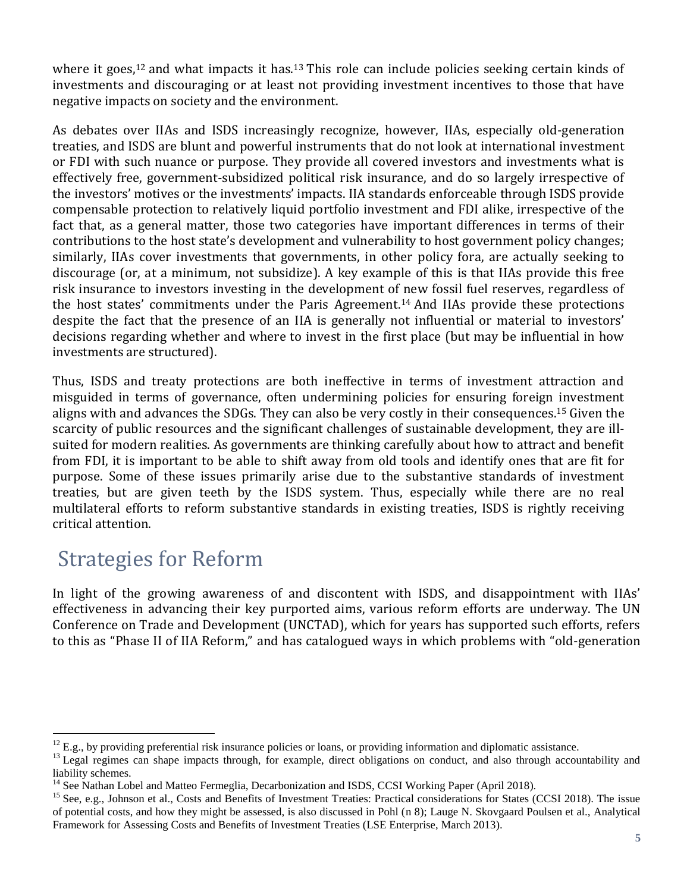where it goes,<sup>12</sup> and what impacts it has.<sup>13</sup> This role can include policies seeking certain kinds of investments and discouraging or at least not providing investment incentives to those that have negative impacts on society and the environment.

As debates over IIAs and ISDS increasingly recognize, however, IIAs, especially old-generation treaties, and ISDS are blunt and powerful instruments that do not look at international investment or FDI with such nuance or purpose. They provide all covered investors and investments what is effectively free, government-subsidized political risk insurance, and do so largely irrespective of the investors' motives or the investments' impacts. IIA standards enforceable through ISDS provide compensable protection to relatively liquid portfolio investment and FDI alike, irrespective of the fact that, as a general matter, those two categories have important differences in terms of their contributions to the host state's development and vulnerability to host government policy changes; similarly, IIAs cover investments that governments, in other policy fora, are actually seeking to discourage (or, at a minimum, not subsidize). A key example of this is that IIAs provide this free risk insurance to investors investing in the development of new fossil fuel reserves, regardless of the host states' commitments under the Paris Agreement.<sup>14</sup> And IIAs provide these protections despite the fact that the presence of an IIA is generally not influential or material to investors' decisions regarding whether and where to invest in the first place (but may be influential in how investments are structured).

Thus, ISDS and treaty protections are both ineffective in terms of investment attraction and misguided in terms of governance, often undermining policies for ensuring foreign investment aligns with and advances the SDGs. They can also be very costly in their consequences.<sup>15</sup> Given the scarcity of public resources and the significant challenges of sustainable development, they are illsuited for modern realities. As governments are thinking carefully about how to attract and benefit from FDI, it is important to be able to shift away from old tools and identify ones that are fit for purpose. Some of these issues primarily arise due to the substantive standards of investment treaties, but are given teeth by the ISDS system. Thus, especially while there are no real multilateral efforts to reform substantive standards in existing treaties, ISDS is rightly receiving critical attention.

## Strategies for Reform

In light of the growing awareness of and discontent with ISDS, and disappointment with IIAs' effectiveness in advancing their key purported aims, various reform efforts are underway. The UN Conference on Trade and Development (UNCTAD), which for years has supported such efforts, refers to this as "Phase II of IIA Reform," and has catalogued ways in which problems with "old-generation

 $\overline{a}$  $12$  E.g., by providing preferential risk insurance policies or loans, or providing information and diplomatic assistance.

<sup>&</sup>lt;sup>13</sup> Legal regimes can shape impacts through, for example, direct obligations on conduct, and also through accountability and liability schemes.

<sup>&</sup>lt;sup>14</sup> See Nathan Lobel and Matteo Fermeglia, Decarbonization and ISDS, CCSI Working Paper (April 2018).

<sup>&</sup>lt;sup>15</sup> See, e.g., Johnson et al., Costs and Benefits of Investment Treaties: Practical considerations for States (CCSI 2018). The issue of potential costs, and how they might be assessed, is also discussed in Pohl (n 8); Lauge N. Skovgaard Poulsen et al., Analytical Framework for Assessing Costs and Benefits of Investment Treaties (LSE Enterprise, March 2013).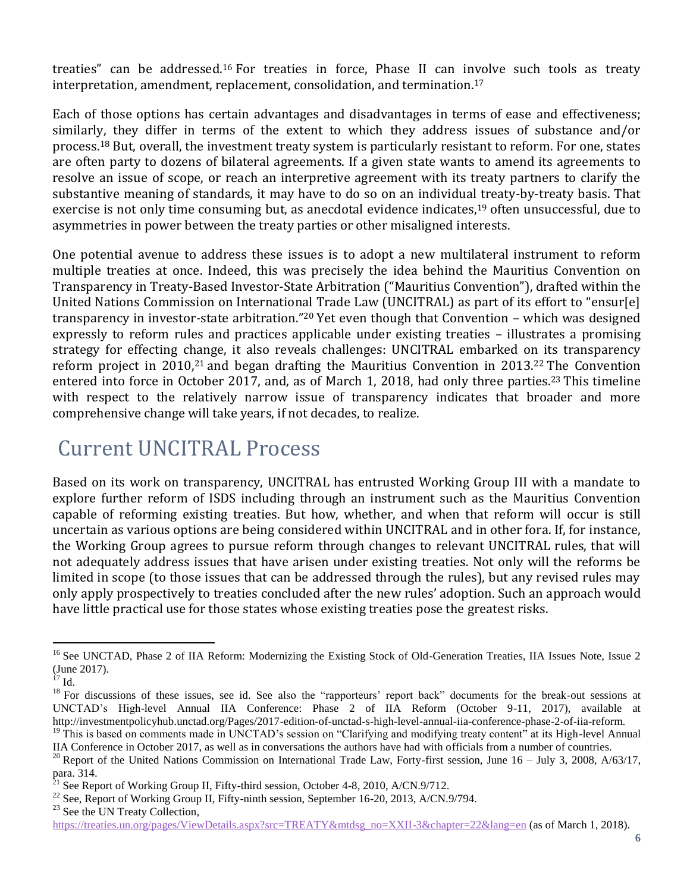treaties" can be addressed.<sup>16</sup> For treaties in force, Phase II can involve such tools as treaty interpretation, amendment, replacement, consolidation, and termination.<sup>17</sup>

Each of those options has certain advantages and disadvantages in terms of ease and effectiveness; similarly, they differ in terms of the extent to which they address issues of substance and/or process.<sup>18</sup> But, overall, the investment treaty system is particularly resistant to reform. For one, states are often party to dozens of bilateral agreements. If a given state wants to amend its agreements to resolve an issue of scope, or reach an interpretive agreement with its treaty partners to clarify the substantive meaning of standards, it may have to do so on an individual treaty-by-treaty basis. That exercise is not only time consuming but, as anecdotal evidence indicates,<sup>19</sup> often unsuccessful, due to asymmetries in power between the treaty parties or other misaligned interests.

One potential avenue to address these issues is to adopt a new multilateral instrument to reform multiple treaties at once. Indeed, this was precisely the idea behind the Mauritius Convention on Transparency in Treaty-Based Investor-State Arbitration ("Mauritius Convention"), drafted within the United Nations Commission on International Trade Law (UNCITRAL) as part of its effort to "ensur[e] transparency in investor-state arbitration."<sup>20</sup> Yet even though that Convention – which was designed expressly to reform rules and practices applicable under existing treaties – illustrates a promising strategy for effecting change, it also reveals challenges: UNCITRAL embarked on its transparency reform project in 2010,<sup>21</sup> and began drafting the Mauritius Convention in 2013.<sup>22</sup> The Convention entered into force in October 2017, and, as of March 1, 2018, had only three parties.<sup>23</sup> This timeline with respect to the relatively narrow issue of transparency indicates that broader and more comprehensive change will take years, if not decades, to realize.

#### Current UNCITRAL Process

Based on its work on transparency, UNCITRAL has entrusted Working Group III with a mandate to explore further reform of ISDS including through an instrument such as the Mauritius Convention capable of reforming existing treaties. But how, whether, and when that reform will occur is still uncertain as various options are being considered within UNCITRAL and in other fora. If, for instance, the Working Group agrees to pursue reform through changes to relevant UNCITRAL rules, that will not adequately address issues that have arisen under existing treaties. Not only will the reforms be limited in scope (to those issues that can be addressed through the rules), but any revised rules may only apply prospectively to treaties concluded after the new rules' adoption. Such an approach would have little practical use for those states whose existing treaties pose the greatest risks.

 $\overline{a}$ 

<sup>&</sup>lt;sup>16</sup> See UNCTAD, Phase 2 of IIA Reform: Modernizing the Existing Stock of Old-Generation Treaties, IIA Issues Note, Issue 2 (June 2017).

 $^{17}$  Id.

<sup>&</sup>lt;sup>18</sup> For discussions of these issues, see id. See also the "rapporteurs' report back" documents for the break-out sessions at UNCTAD's High-level Annual IIA Conference: Phase 2 of IIA Reform (October 9-11, 2017), available at http://investmentpolicyhub.unctad.org/Pages/2017-edition-of-unctad-s-high-level-annual-iia-conference-phase-2-of-iia-reform.

<sup>&</sup>lt;sup>19</sup> This is based on comments made in UNCTAD's session on "Clarifying and modifying treaty content" at its High-level Annual IIA Conference in October 2017, as well as in conversations the authors have had with officials from a number of countries.

<sup>&</sup>lt;sup>20</sup> Report of the United Nations Commission on International Trade Law, Forty-first session, June  $16 - \text{July } 3$ , 2008, A/63/17, para. 314.

 $^{21}$  See Report of Working Group II, Fifty-third session, October 4-8, 2010, A/CN.9/712.

<sup>&</sup>lt;sup>22</sup> See, Report of Working Group II, Fifty-ninth session, September 16-20, 2013, A/CN.9/794.

<sup>&</sup>lt;sup>23</sup> See the UN Treaty Collection,

[https://treaties.un.org/pages/ViewDetails.aspx?src=TREATY&mtdsg\\_no=XXII-3&chapter=22&lang=en](https://treaties.un.org/pages/ViewDetails.aspx?src=TREATY&mtdsg_no=XXII-3&chapter=22&lang=en) (as of March 1, 2018).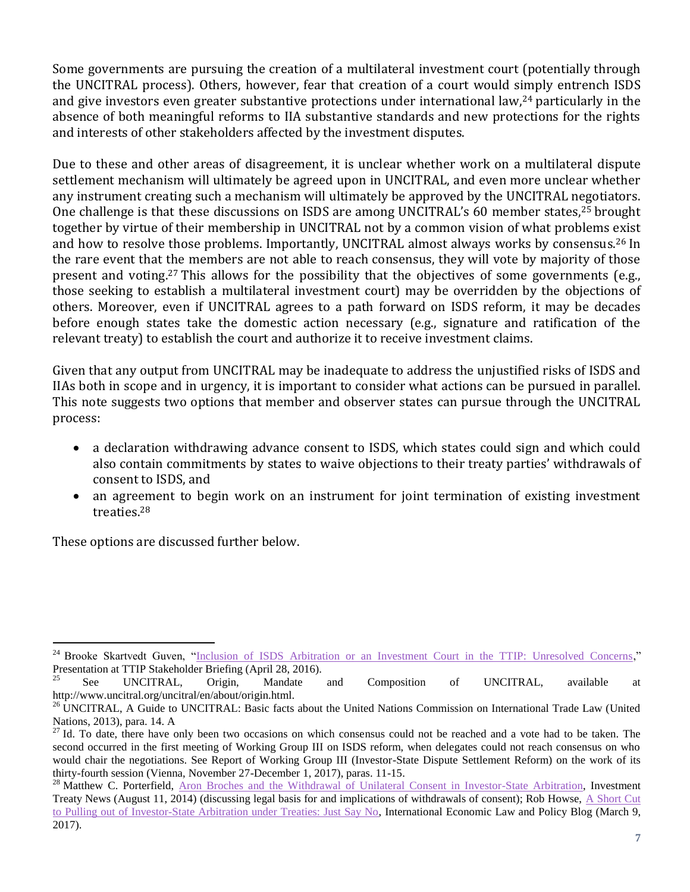Some governments are pursuing the creation of a multilateral investment court (potentially through the UNCITRAL process). Others, however, fear that creation of a court would simply entrench ISDS and give investors even greater substantive protections under international law,<sup>24</sup> particularly in the absence of both meaningful reforms to IIA substantive standards and new protections for the rights and interests of other stakeholders affected by the investment disputes.

Due to these and other areas of disagreement, it is unclear whether work on a multilateral dispute settlement mechanism will ultimately be agreed upon in UNCITRAL, and even more unclear whether any instrument creating such a mechanism will ultimately be approved by the UNCITRAL negotiators. One challenge is that these discussions on ISDS are among UNCITRAL's 60 member states,<sup>25</sup> brought together by virtue of their membership in UNCITRAL not by a common vision of what problems exist and how to resolve those problems. Importantly, UNCITRAL almost always works by consensus.<sup>26</sup> In the rare event that the members are not able to reach consensus, they will vote by majority of those present and voting.<sup>27</sup> This allows for the possibility that the objectives of some governments (e.g., those seeking to establish a multilateral investment court) may be overridden by the objections of others. Moreover, even if UNCITRAL agrees to a path forward on ISDS reform, it may be decades before enough states take the domestic action necessary (e.g., signature and ratification of the relevant treaty) to establish the court and authorize it to receive investment claims.

Given that any output from UNCITRAL may be inadequate to address the unjustified risks of ISDS and IIAs both in scope and in urgency, it is important to consider what actions can be pursued in parallel. This note suggests two options that member and observer states can pursue through the UNCITRAL process:

- a declaration withdrawing advance consent to ISDS, which states could sign and which could also contain commitments by states to waive objections to their treaty parties' withdrawals of consent to ISDS, and
- an agreement to begin work on an instrument for joint termination of existing investment treaties.<sup>28</sup>

These options are discussed further below.

l <sup>24</sup> Brooke Skartvedt Guven, ["Inclusion of ISDS Arbitration or an Investment Court in the TTIP: Unresolved Concerns,](http://ccsi.columbia.edu/files/2016/04/160428-TTIP-Stakeholder-Session-The-Investment-Chapter-Unresolved-Concerns-FINAL.pdf)" Presentation at TTIP Stakeholder Briefing (April 28, 2016).

 $25$  See UNCITRAL, Origin, Mandate and Composition of UNCITRAL, available at http://www.uncitral.org/uncitral/en/about/origin.html.

<sup>&</sup>lt;sup>26</sup> UNCITRAL, A Guide to UNCITRAL: Basic facts about the United Nations Commission on International Trade Law (United Nations, 2013), para. 14. A

<sup>&</sup>lt;sup>27</sup> Id. To date, there have only been two occasions on which consensus could not be reached and a vote had to be taken. The second occurred in the first meeting of Working Group III on ISDS reform, when delegates could not reach consensus on who would chair the negotiations. See Report of Working Group III (Investor-State Dispute Settlement Reform) on the work of its thirty-fourth session (Vienna, November 27-December 1, 2017), paras. 11-15.

<sup>&</sup>lt;sup>28</sup> Matthew C. Porterfield, [Aron Broches and the Withdrawal of Unilateral Consent in Investor-State Arbitration,](https://www.iisd.org/itn/2014/08/11/aron-broches-and-the-withdrawal-of-unilateral-offers-of-consent-to-investor-state-arbitration/) Investment Treaty News (August 11, 2014) (discussing legal basis for and implications of withdrawals of consent); Rob Howse, A Short Cut [to Pulling out of Investor-State Arbitration under Treaties: Just Say No,](http://worldtradelaw.typepad.com/ielpblog/2017/03/a-short-cut-to-pulling-out-of-investor-state-arbitration-under-treatiesjust-say-no.html) International Economic Law and Policy Blog (March 9, 2017).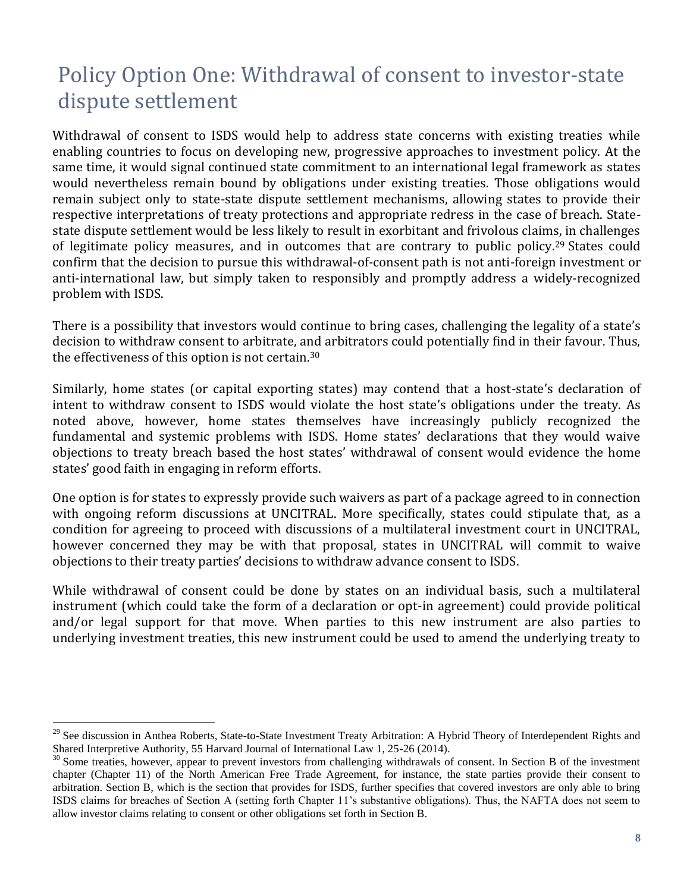## Policy Option One: Withdrawal of consent to investor-state dispute settlement

Withdrawal of consent to ISDS would help to address state concerns with existing treaties while enabling countries to focus on developing new, progressive approaches to investment policy. At the same time, it would signal continued state commitment to an international legal framework as states would nevertheless remain bound by obligations under existing treaties. Those obligations would remain subject only to state-state dispute settlement mechanisms, allowing states to provide their respective interpretations of treaty protections and appropriate redress in the case of breach. Statestate dispute settlement would be less likely to result in exorbitant and frivolous claims, in challenges of legitimate policy measures, and in outcomes that are contrary to public policy.<sup>29</sup> States could confirm that the decision to pursue this withdrawal-of-consent path is not anti-foreign investment or anti-international law, but simply taken to responsibly and promptly address a widely-recognized problem with ISDS.

There is a possibility that investors would continue to bring cases, challenging the legality of a state's decision to withdraw consent to arbitrate, and arbitrators could potentially find in their favour. Thus, the effectiveness of this option is not certain.<sup>30</sup>

Similarly, home states (or capital exporting states) may contend that a host-state's declaration of intent to withdraw consent to ISDS would violate the host state's obligations under the treaty. As noted above, however, home states themselves have increasingly publicly recognized the fundamental and systemic problems with ISDS. Home states' declarations that they would waive objections to treaty breach based the host states' withdrawal of consent would evidence the home states' good faith in engaging in reform efforts.

One option is for states to expressly provide such waivers as part of a package agreed to in connection with ongoing reform discussions at UNCITRAL. More specifically, states could stipulate that, as a condition for agreeing to proceed with discussions of a multilateral investment court in UNCITRAL, however concerned they may be with that proposal, states in UNCITRAL will commit to waive objections to their treaty parties' decisions to withdraw advance consent to ISDS.

While withdrawal of consent could be done by states on an individual basis, such a multilateral instrument (which could take the form of a declaration or opt-in agreement) could provide political and/or legal support for that move. When parties to this new instrument are also parties to underlying investment treaties, this new instrument could be used to amend the underlying treaty to

l

<sup>&</sup>lt;sup>29</sup> See discussion in Anthea Roberts, State-to-State Investment Treaty Arbitration: A Hybrid Theory of Interdependent Rights and Shared Interpretive Authority, 55 Harvard Journal of International Law 1, 25-26 (2014).

<sup>&</sup>lt;sup>30</sup> Some treaties, however, appear to prevent investors from challenging withdrawals of consent. In Section B of the investment chapter (Chapter 11) of the North American Free Trade Agreement, for instance, the state parties provide their consent to arbitration. Section B, which is the section that provides for ISDS, further specifies that covered investors are only able to bring ISDS claims for breaches of Section A (setting forth Chapter 11's substantive obligations). Thus, the NAFTA does not seem to allow investor claims relating to consent or other obligations set forth in Section B.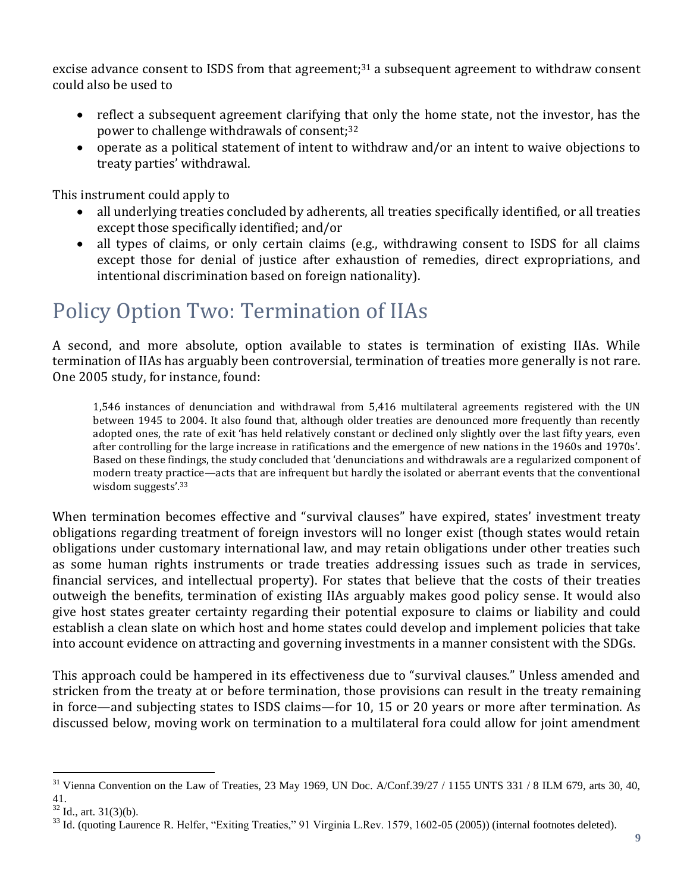excise advance consent to ISDS from that agreement;<sup>31</sup> a subsequent agreement to withdraw consent could also be used to

- reflect a subsequent agreement clarifying that only the home state, not the investor, has the power to challenge withdrawals of consent;<sup>32</sup>
- operate as a political statement of intent to withdraw and/or an intent to waive objections to treaty parties' withdrawal.

This instrument could apply to

- all underlying treaties concluded by adherents, all treaties specifically identified, or all treaties except those specifically identified; and/or
- all types of claims, or only certain claims (e.g., withdrawing consent to ISDS for all claims except those for denial of justice after exhaustion of remedies, direct expropriations, and intentional discrimination based on foreign nationality).

#### Policy Option Two: Termination of IIAs

A second, and more absolute, option available to states is termination of existing IIAs. While termination of IIAs has arguably been controversial, termination of treaties more generally is not rare. One 2005 study, for instance, found:

1,546 instances of denunciation and withdrawal from 5,416 multilateral agreements registered with the UN between 1945 to 2004. It also found that, although older treaties are denounced more frequently than recently adopted ones, the rate of exit 'has held relatively constant or declined only slightly over the last fifty years, even after controlling for the large increase in ratifications and the emergence of new nations in the 1960s and 1970s'. Based on these findings, the study concluded that 'denunciations and withdrawals are a regularized component of modern treaty practice—acts that are infrequent but hardly the isolated or aberrant events that the conventional wisdom suggests'.<sup>33</sup>

When termination becomes effective and "survival clauses" have expired, states' investment treaty obligations regarding treatment of foreign investors will no longer exist (though states would retain obligations under customary international law, and may retain obligations under other treaties such as some human rights instruments or trade treaties addressing issues such as trade in services, financial services, and intellectual property). For states that believe that the costs of their treaties outweigh the benefits, termination of existing IIAs arguably makes good policy sense. It would also give host states greater certainty regarding their potential exposure to claims or liability and could establish a clean slate on which host and home states could develop and implement policies that take into account evidence on attracting and governing investments in a manner consistent with the SDGs.

This approach could be hampered in its effectiveness due to "survival clauses." Unless amended and stricken from the treaty at or before termination, those provisions can result in the treaty remaining in force—and subjecting states to ISDS claims—for 10, 15 or 20 years or more after termination. As discussed below, moving work on termination to a multilateral fora could allow for joint amendment

l

 $31$  Vienna Convention on the Law of Treaties, 23 May 1969, UN Doc. A/Conf.39/27 / 1155 UNTS 331 / 8 ILM 679, arts 30, 40, 41.

 $32$  Id., art.  $31(3)(b)$ .

<sup>&</sup>lt;sup>33</sup> Id. (quoting Laurence R. Helfer, "Exiting Treaties," 91 Virginia L.Rev. 1579, 1602-05 (2005)) (internal footnotes deleted).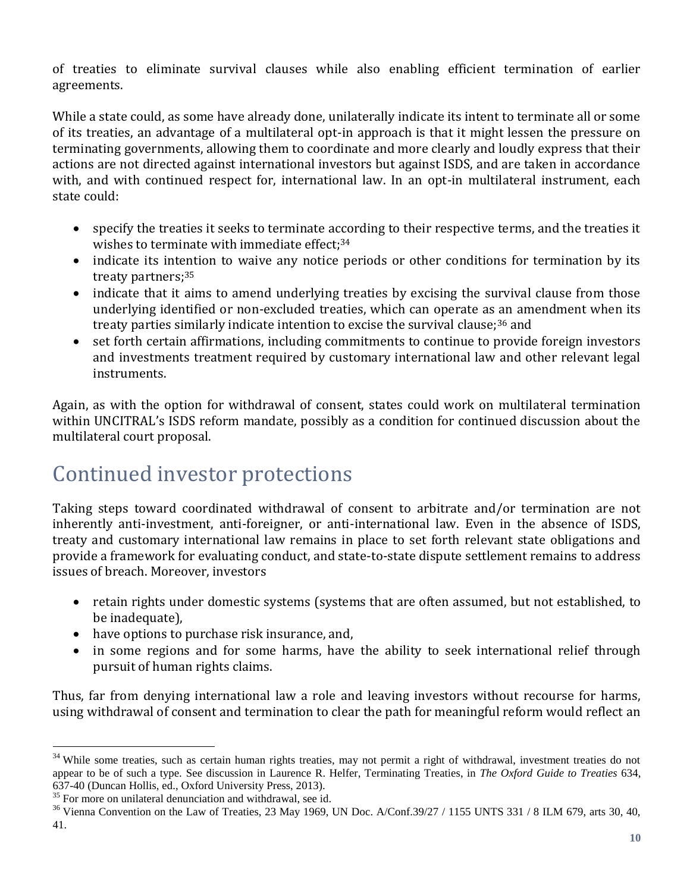of treaties to eliminate survival clauses while also enabling efficient termination of earlier agreements.

While a state could, as some have already done, unilaterally indicate its intent to terminate all or some of its treaties, an advantage of a multilateral opt-in approach is that it might lessen the pressure on terminating governments, allowing them to coordinate and more clearly and loudly express that their actions are not directed against international investors but against ISDS, and are taken in accordance with, and with continued respect for, international law. In an opt-in multilateral instrument, each state could:

- specify the treaties it seeks to terminate according to their respective terms, and the treaties it wishes to terminate with immediate effect;<sup>34</sup>
- indicate its intention to waive any notice periods or other conditions for termination by its treaty partners;<sup>35</sup>
- indicate that it aims to amend underlying treaties by excising the survival clause from those underlying identified or non-excluded treaties, which can operate as an amendment when its treaty parties similarly indicate intention to excise the survival clause;<sup>36</sup> and
- set forth certain affirmations, including commitments to continue to provide foreign investors and investments treatment required by customary international law and other relevant legal instruments.

Again, as with the option for withdrawal of consent, states could work on multilateral termination within UNCITRAL's ISDS reform mandate, possibly as a condition for continued discussion about the multilateral court proposal.

## Continued investor protections

Taking steps toward coordinated withdrawal of consent to arbitrate and/or termination are not inherently anti-investment, anti-foreigner, or anti-international law. Even in the absence of ISDS, treaty and customary international law remains in place to set forth relevant state obligations and provide a framework for evaluating conduct, and state-to-state dispute settlement remains to address issues of breach. Moreover, investors

- retain rights under domestic systems (systems that are often assumed, but not established, to be inadequate),
- have options to purchase risk insurance, and,
- in some regions and for some harms, have the ability to seek international relief through pursuit of human rights claims.

Thus, far from denying international law a role and leaving investors without recourse for harms, using withdrawal of consent and termination to clear the path for meaningful reform would reflect an

l <sup>34</sup> While some treaties, such as certain human rights treaties, may not permit a right of withdrawal, investment treaties do not appear to be of such a type. See discussion in Laurence R. Helfer, Terminating Treaties, in *The Oxford Guide to Treaties* 634, 637-40 (Duncan Hollis, ed., Oxford University Press, 2013).

<sup>&</sup>lt;sup>35</sup> For more on unilateral denunciation and withdrawal, see id.

 $36$  Vienna Convention on the Law of Treaties, 23 May 1969, UN Doc. A/Conf.39/27 / 1155 UNTS 331 / 8 ILM 679, arts 30, 40, 41.